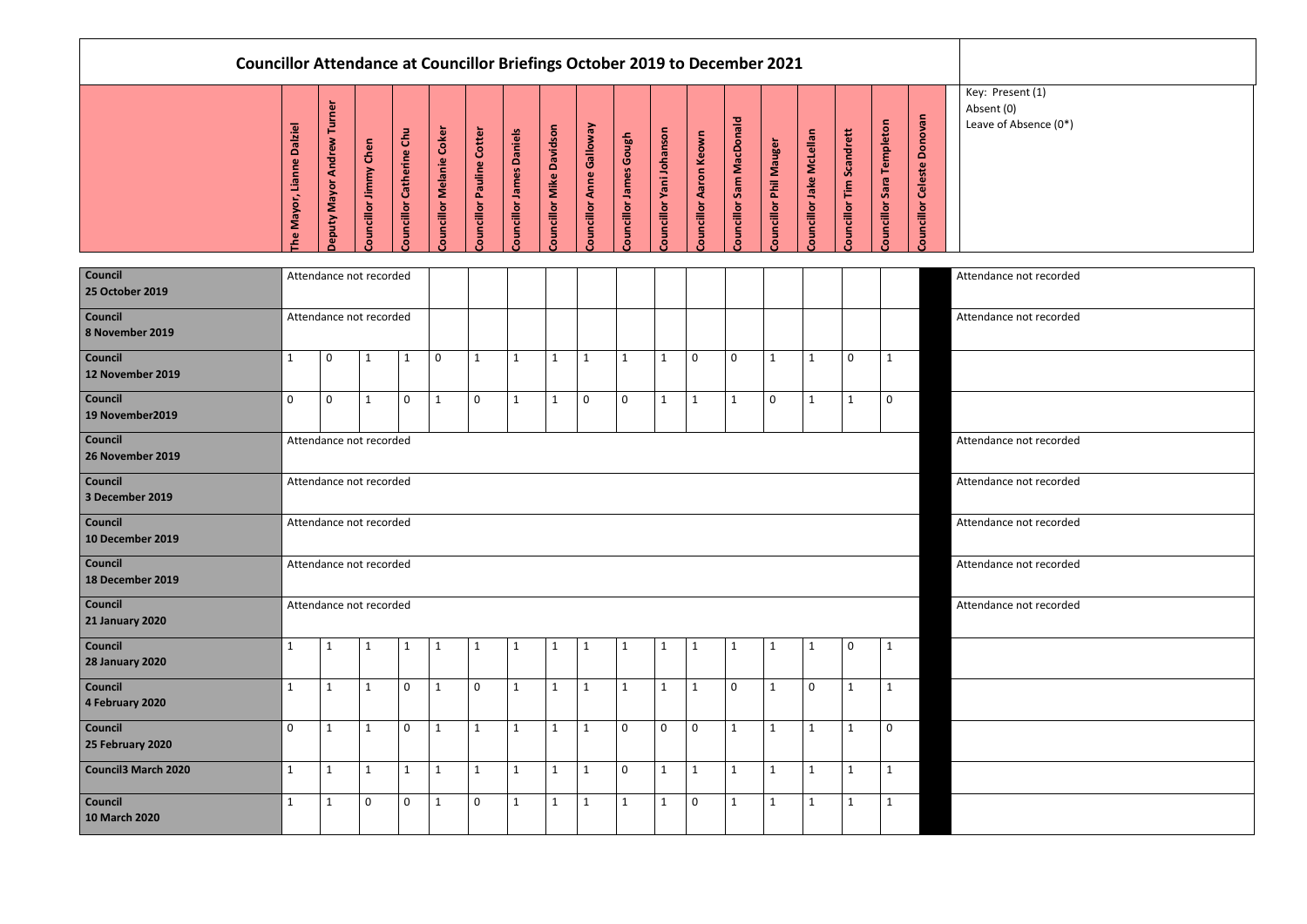| <b>Councillor Attendance at Councillor Briefings October 2019 to December 2021</b> |                                          |                                   |                       |                          |                                 |                                  |                          |                          |                                 |                        |                          |                        |                          |                        |                          |                                 |                           |                               |                                                         |
|------------------------------------------------------------------------------------|------------------------------------------|-----------------------------------|-----------------------|--------------------------|---------------------------------|----------------------------------|--------------------------|--------------------------|---------------------------------|------------------------|--------------------------|------------------------|--------------------------|------------------------|--------------------------|---------------------------------|---------------------------|-------------------------------|---------------------------------------------------------|
|                                                                                    | <b>Dalziel</b><br>Lianne<br>Mayor,<br>e, | <b>Deputy Mayor Andrew Turner</b> | Councillor Jimmy Chen | Councillor Catherine Chu | <b>Councillor Melanie Coker</b> | <b>Councillor Pauline Cotter</b> | Councillor James Daniels | Councillor Mike Davidson | <b>Councillor Anne Galloway</b> | Councillor James Gough | Councillor Yani Johanson | Councillor Aaron Keown | Councillor Sam MacDonald | Councillor Phil Mauger | Councillor Jake McLellan | <b>Councillor Tim Scandrett</b> | Councillor Sara Templeton | Donovan<br>Councillor Celeste | Key: Present (1)<br>Absent (0)<br>Leave of Absence (0*) |
| <b>Council</b><br>25 October 2019                                                  |                                          | Attendance not recorded           |                       |                          |                                 |                                  |                          |                          |                                 |                        |                          |                        |                          |                        |                          |                                 |                           |                               | Attendance not recorded                                 |
| <b>Council</b><br>8 November 2019                                                  |                                          | Attendance not recorded           |                       |                          |                                 |                                  |                          |                          |                                 |                        |                          |                        |                          |                        |                          |                                 |                           |                               | Attendance not recorded                                 |
| <b>Council</b><br>12 November 2019                                                 | 1                                        | 0                                 | 1                     | 1                        | $\mathbf 0$                     | $\mathbf{1}$                     | $\mathbf{1}$             | $\mathbf{1}$             | 1                               | -1                     | $\mathbf{1}$             | $\mathbf 0$            | $\mathbf 0$              | $\mathbf{1}$           |                          | $\mathbf 0$                     | $\mathbf{1}$              |                               |                                                         |
| <b>Council</b><br>19 November2019                                                  | $\mathbf 0$                              | $\mathbf 0$                       | $\mathbf{1}$          | $\mathbf 0$              | $\mathbf{1}$                    | $\mathbf 0$                      | $\mathbf{1}$             | $\mathbf{1}$             | $\mathbf 0$                     | $\mathbf 0$            | $\mathbf{1}$             | $\mathbf{1}$           | $\mathbf 1$              | $\mathbf 0$            | 1                        | $\mathbf{1}$                    | $\mathbf 0$               |                               |                                                         |
| <b>Council</b><br>26 November 2019                                                 |                                          | Attendance not recorded           |                       |                          |                                 |                                  |                          |                          |                                 |                        |                          |                        |                          |                        |                          |                                 |                           |                               | Attendance not recorded                                 |
| Council<br>3 December 2019                                                         |                                          | Attendance not recorded           |                       |                          |                                 |                                  |                          |                          |                                 |                        |                          |                        |                          |                        |                          |                                 |                           |                               | Attendance not recorded                                 |
| <b>Council</b><br><b>10 December 2019</b>                                          |                                          | Attendance not recorded           |                       |                          |                                 |                                  |                          |                          |                                 |                        |                          |                        |                          |                        |                          |                                 |                           |                               | Attendance not recorded                                 |
| <b>Council</b><br>18 December 2019                                                 |                                          | Attendance not recorded           |                       |                          |                                 |                                  |                          |                          |                                 |                        |                          |                        |                          |                        |                          |                                 |                           |                               | Attendance not recorded                                 |
| <b>Council</b><br><b>21 January 2020</b>                                           |                                          | Attendance not recorded           |                       |                          |                                 |                                  |                          |                          |                                 |                        |                          |                        |                          |                        |                          |                                 |                           |                               | Attendance not recorded                                 |
| Council<br><b>28 January 2020</b>                                                  | $\mathbf{1}$                             | $\mathbf{1}$                      | $\mathbf{1}$          | $\mathbf{1}$             | $\mathbf{1}$                    | $\mathbf{1}$                     | $\mathbf{1}$             | $\mathbf{1}$             | 1                               | -1                     | 1                        | $\mathbf{1}$           | 1                        | $\mathbf 1$            |                          | $\mathbf 0$                     | $\mathbf 1$               |                               |                                                         |
| <b>Council</b><br>4 February 2020                                                  | $\mathbf{1}$                             | $\mathbf{1}$                      | $\mathbf{1}$          | $\mathbf 0$              | $\mathbf{1}$                    | $\mathbf 0$                      | $\mathbf{1}$             | $\mathbf{1}$             | $\mathbf{1}$                    | $\mathbf{1}$           | $\mathbf{1}$             | $\mathbf{1}$           | $\mathbf 0$              | $\mathbf{1}$           | $\mathbf 0$              | $\mathbf{1}$                    | $\mathbf{1}$              |                               |                                                         |
| <b>Council</b><br>25 February 2020                                                 | $\mathbf 0$                              | $\mathbf{1}$                      | $\mathbf{1}$          | $\mathbf 0$              | $\mathbf{1}$                    | $\mathbf{1}$                     | $\mathbf{1}$             | $\mathbf{1}$             | $\mathbf{1}$                    | $\mathbf 0$            | $\mathbf 0$              | $\mathbf 0$            | $\mathbf{1}$             | $\mathbf{1}$           | $\mathbf{1}$             | $\mathbf{1}$                    | $\mathbf 0$               |                               |                                                         |
| <b>Council3 March 2020</b>                                                         | $\mathbf{1}$                             | $\mathbf{1}$                      | $\mathbf{1}$          | $\mathbf{1}$             | $\mathbf{1}$                    | $\mathbf{1}$                     | $\mathbf{1}$             | $\mathbf{1}$             | $\mathbf{1}$                    | $\mathbf 0$            | $\mathbf{1}$             | $\mathbf{1}$           | $\mathbf{1}$             | $\mathbf{1}$           | $\mathbf{1}$             | $\mathbf{1}$                    | $\mathbf{1}$              |                               |                                                         |
| <b>Council</b><br><b>10 March 2020</b>                                             | $\mathbf{1}$                             | $\mathbf{1}$                      | $\mathbf 0$           | $\mathbf 0$              | $\mathbf{1}$                    | $\mathbf 0$                      | $\mathbf{1}$             | $\mathbf{1}$             | $\mathbf{1}$                    | $\mathbf{1}$           | $\mathbf{1}$             | $\mathbf 0$            | $\mathbf{1}$             | $\mathbf 1$            |                          | $\mathbf{1}$                    | $\mathbf{1}$              |                               |                                                         |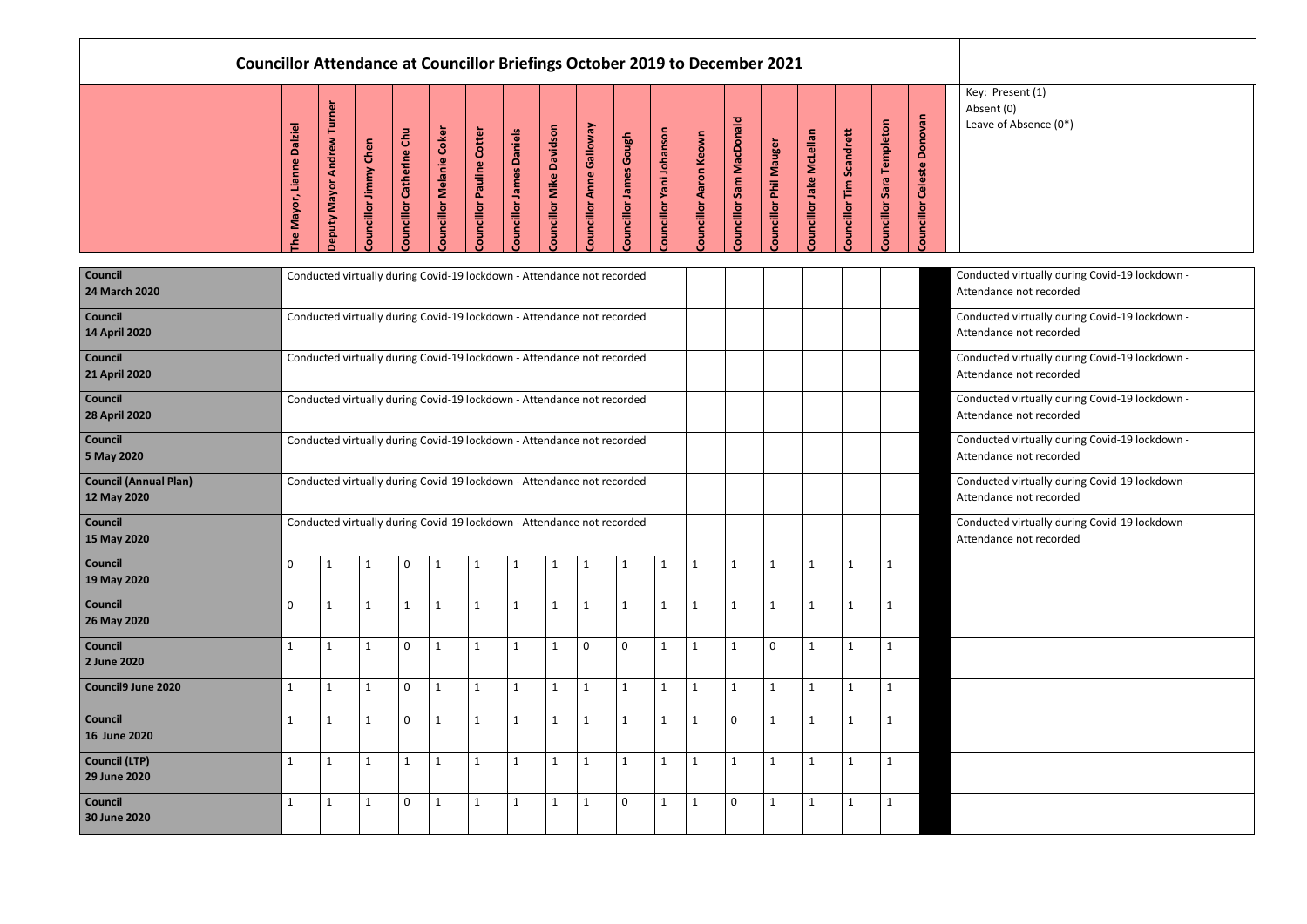| <b>Councillor Attendance at Councillor Briefings October 2019 to December 2021</b> |                             |                                      |                       |                             |                          |                                  |                                                                        |                          |                                 |                                                                        |                          |                        |                          |                               |                          |                                 |                                  |                                  |                          |
|------------------------------------------------------------------------------------|-----------------------------|--------------------------------------|-----------------------|-----------------------------|--------------------------|----------------------------------|------------------------------------------------------------------------|--------------------------|---------------------------------|------------------------------------------------------------------------|--------------------------|------------------------|--------------------------|-------------------------------|--------------------------|---------------------------------|----------------------------------|----------------------------------|--------------------------|
|                                                                                    | Lianne Dalziel<br>he Mayor, | <b>Mayor Andrew Turner</b><br>Deputy | Councillor Jimmy Chen | Catherine Chu<br>Councillor | Councillor Melanie Coker | <b>Councillor Pauline Cotter</b> | <b>Councillor James Daniels</b>                                        | Councillor Mike Davidson | <b>Councillor Anne Galloway</b> | Gough<br>Councillor James                                              | Councillor Yani Johanson | Councillor Aaron Keown | Councillor Sam MacDonald | <b>Councillor Phil Mauger</b> | Councillor Jake McLellan | <b>Councillor Tim Scandrett</b> | <b>Councillor Sara Templeton</b> | Donovan<br>Celeste<br>Councillor | Key: F<br>Absen<br>Leave |
| <b>Council</b><br>24 March 2020                                                    |                             |                                      |                       |                             |                          |                                  |                                                                        |                          |                                 | Conducted virtually during Covid-19 lockdown - Attendance not recorded |                          |                        |                          |                               |                          |                                 |                                  |                                  | Conduct<br>Attenda       |
| <b>Council</b><br><b>14 April 2020</b>                                             |                             |                                      |                       |                             |                          |                                  | Conducted virtually during Covid-19 lockdown - Attendance not recorded |                          |                                 |                                                                        |                          |                        |                          |                               | Conduct<br>Attenda       |                                 |                                  |                                  |                          |
| <b>Council</b><br><b>21 April 2020</b>                                             |                             |                                      |                       |                             |                          |                                  | Conducted virtually during Covid-19 lockdown - Attendance not recorded |                          |                                 |                                                                        |                          |                        |                          |                               | Conduct<br>Attenda       |                                 |                                  |                                  |                          |
| <b>Council</b><br><b>28 April 2020</b>                                             |                             |                                      |                       |                             |                          |                                  | Conducted virtually during Covid-19 lockdown - Attendance not recorded |                          |                                 |                                                                        |                          |                        |                          |                               |                          |                                 | Conduct<br>Attenda               |                                  |                          |
| <b>Council</b><br>5 May 2020                                                       |                             |                                      |                       |                             |                          |                                  |                                                                        |                          |                                 | Conducted virtually during Covid-19 lockdown - Attendance not recorded |                          |                        |                          |                               |                          |                                 |                                  |                                  | Conduct<br>Attenda       |
| <b>Council (Annual Plan)</b><br>12 May 2020                                        |                             |                                      |                       |                             |                          |                                  |                                                                        |                          |                                 | Conducted virtually during Covid-19 lockdown - Attendance not recorded |                          |                        |                          |                               |                          |                                 |                                  |                                  | Conduct<br>Attenda       |
| Council<br>15 May 2020                                                             |                             |                                      |                       |                             |                          |                                  |                                                                        |                          |                                 | Conducted virtually during Covid-19 lockdown - Attendance not recorded |                          |                        |                          |                               |                          |                                 |                                  |                                  | Conduct<br>Attenda       |
| <b>Council</b><br>19 May 2020                                                      | $\mathbf 0$                 | $\mathbf{1}$                         | $\mathbf{1}$          | $\mathbf 0$                 | $\mathbf{1}$             | $\mathbf{1}$                     | $\mathbf{1}$                                                           | $\mathbf{1}$             | $\mathbf{1}$                    | $\mathbf{1}$                                                           | $\mathbf{1}$             | $\mathbf{1}$           | $\mathbf{1}$             | $\mathbf{1}$                  | $\mathbf{1}$             | $\mathbf{1}$                    | $\mathbf{1}$                     |                                  |                          |
| <b>Council</b><br>26 May 2020                                                      | $\mathbf 0$                 | $\mathbf{1}$                         | $\mathbf{1}$          | $\mathbf{1}$                | $\mathbf{1}$             | $\mathbf{1}$                     | $\mathbf{1}$                                                           | $\mathbf{1}$             | $\mathbf{1}$                    | $\mathbf{1}$                                                           | $\mathbf{1}$             | $\mathbf{1}$           | $\mathbf{1}$             | $\mathbf{1}$                  | $\mathbf{1}$             | $\mathbf{1}$                    | 1                                |                                  |                          |
| <b>Council</b><br>2 June 2020                                                      | $\mathbf{1}$                | $\mathbf{1}$                         | $\mathbf{1}$          | $\mathbf 0$                 | $\mathbf{1}$             | $\mathbf{1}$                     | $\mathbf{1}$                                                           | $\mathbf{1}$             | $\mathbf 0$                     | $\mathbf 0$                                                            | $\mathbf{1}$             | $\mathbf{1}$           | $\mathbf{1}$             | $\mathbf 0$                   | $\mathbf{1}$             | $\mathbf{1}$                    | $\mathbf{1}$                     |                                  |                          |
| <b>Council9 June 2020</b><br><b>Council</b>                                        | $\mathbf{1}$                | $\mathbf{1}$                         | $\mathbf{1}$          | $\mathbf 0$                 | $\mathbf{1}$             | $\mathbf{1}$                     | $\mathbf{1}$                                                           | $\mathbf{1}$             | $\mathbf{1}$                    | $\mathbf{1}$                                                           | $\mathbf{1}$             | $\mathbf{1}$           | $\mathbf{1}$             | $\mathbf{1}$                  | $\mathbf{1}$             | $\mathbf{1}$                    | $\mathbf{1}$                     |                                  |                          |
| 16 June 2020                                                                       | $\mathbf{1}$                | $\mathbf{1}$                         | $\mathbf{1}$          | $\mathsf{O}$                | $\mathbf{1}$             | $\mathbf{1}$                     | $\mathbf{1}$                                                           | $\mathbf{1}$             | $\mathbf{1}$                    | $\mathbf{1}$                                                           | $\mathbf{1}$             | $\mathbf{1}$           | $\mathbf 0$              | $\mathbf{1}$                  | $\mathbf{1}$             | $\mathbf{1}$                    | $\mathbf{1}$                     |                                  |                          |
| <b>Council (LTP)</b><br>29 June 2020                                               | $\mathbf{1}$                | $\mathbf{1}$                         | $\mathbf{1}$          | $\mathbf{1}$                | $\mathbf{1}$             | $\mathbf{1}$                     | $\mathbf{1}$                                                           | $\mathbf{1}$             | $\mathbf{1}$                    | $\mathbf{1}$                                                           | $\mathbf{1}$             | $\mathbf{1}$           | $\mathbf{1}$             | $\mathbf{1}$                  | $\mathbf{1}$             | $\mathbf{1}$                    | $\mathbf{1}$                     |                                  |                          |
| <b>Council</b><br>30 June 2020                                                     | $\mathbf{1}$                | $\mathbf{1}$                         | $\mathbf{1}$          | $\mathsf{O}$                | $\mathbf{1}$             | $\mathbf{1}$                     | $\mathbf{1}$                                                           | $\mathbf{1}$             | $\mathbf{1}$                    | $\mathsf{O}\xspace$                                                    | $\mathbf{1}$             | $\mathbf{1}$           | $\mathbf 0$              | $\mathbf{1}$                  | $\mathbf{1}$             | $\mathbf{1}$                    | $\mathbf{1}$                     |                                  |                          |

### Present (1)  $nt(0)$  $e$  of Absence (0\*)

cted virtually during Covid-19 lockdown ance not recorded

cted virtually during Covid-19 lockdown ance not recorded

Conducted virtually during Covid-19 lockdown ance not recorded

cted virtually during Covid-19 lockdown ance not recorded

cted virtually during Covid-19 lockdown ance not recorded

ted virtually during Covid-19 lockdown ance not recorded

cted virtually during Covid-19 lockdown nce not recorded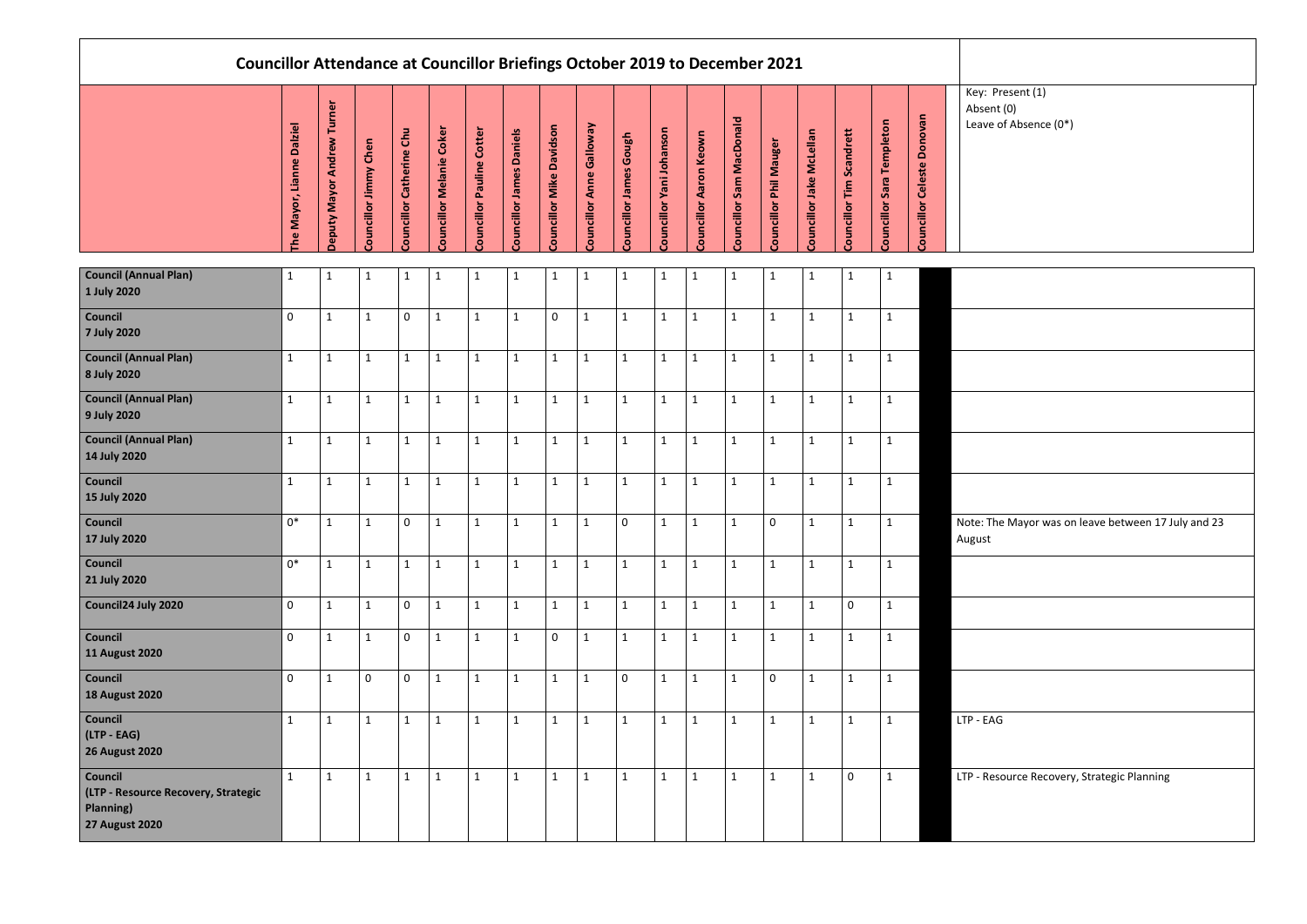| Key: Present (1)      |  |
|-----------------------|--|
| Absent (0)            |  |
| Leave of Absence (0*) |  |

: The Mayor was on leave between 17 July and 23  $\mathsf{t}$ 

Resource Recovery, Strategic Planning

| <b>Councillor Attendance at Councillor Briefings October 2019 to December 2021</b>                 |                           |                                   |                       |                          |                          |                                  |                                 |                                 |                                 |                        |                          |                               |                          |                               |                          |                                 |                                  |                                      |                              |
|----------------------------------------------------------------------------------------------------|---------------------------|-----------------------------------|-----------------------|--------------------------|--------------------------|----------------------------------|---------------------------------|---------------------------------|---------------------------------|------------------------|--------------------------|-------------------------------|--------------------------|-------------------------------|--------------------------|---------------------------------|----------------------------------|--------------------------------------|------------------------------|
|                                                                                                    | The Mayor, Lianne Dalziel | <b>Deputy Mayor Andrew Turner</b> | Councillor Jimmy Chen | Councillor Catherine Chu | Councillor Melanie Coker | <b>Councillor Pauline Cotter</b> | <b>Councillor James Daniels</b> | <b>Councillor Mike Davidson</b> | <b>Councillor Anne Galloway</b> | Councillor James Gough | Councillor Yani Johanson | <b>Councillor Aaron Keown</b> | Councillor Sam MacDonald | <b>Councillor Phil Mauger</b> | Councillor Jake McLellan | <b>Councillor Tim Scandrett</b> | <b>Councillor Sara Templeton</b> | Donovan<br><b>Councillor Celeste</b> | Key: Pr<br>Absent<br>Leave o |
| <b>Council (Annual Plan)</b><br>1 July 2020                                                        | $\mathbf{1}$              | $\mathbf{1}$                      | $\mathbf{1}$          | $\mathbf{1}$             | $\mathbf{1}$             | $\mathbf{1}$                     | $\mathbf{1}$                    | $\mathbf{1}$                    | $\mathbf{1}$                    | $\mathbf{1}$           | $\mathbf{1}$             | $\mathbf{1}$                  | $\mathbf{1}$             | $\mathbf{1}$                  | $\mathbf{1}$             | $\mathbf{1}$                    | $\mathbf{1}$                     |                                      |                              |
| <b>Council</b><br><b>7 July 2020</b>                                                               | $\mathbf 0$               | $\mathbf{1}$                      | $\mathbf{1}$          | $\pmb{0}$                | $\mathbf{1}$             | $\mathbf{1}$                     | $\mathbf{1}$                    | $\mathbf 0$                     | $\mathbf{1}$                    | $\mathbf{1}$           | $\mathbf{1}$             | $\mathbf{1}$                  | $\mathbf{1}$             | $\mathbf{1}$                  | $\mathbf{1}$             | $\mathbf{1}$                    | $\mathbf{1}$                     |                                      |                              |
| <b>Council (Annual Plan)</b><br>8 July 2020                                                        | $\mathbf{1}$              | $\mathbf 1$                       | $\mathbf{1}$          | $\mathbf{1}$             | $\mathbf 1$              | $\mathbf{1}$                     | $\mathbf{1}$                    | $\mathbf{1}$                    | $\mathbf 1$                     | $\mathbf 1$            | $\mathbf{1}$             | $\mathbf{1}$                  | $\mathbf{1}$             | $\mathbf{1}$                  | $\mathbf{1}$             | $\mathbf{1}$                    | $\mathbf{1}$                     |                                      |                              |
| <b>Council (Annual Plan)</b><br><b>9 July 2020</b>                                                 | $\mathbf{1}$              | $\mathbf 1$                       | $\mathbf{1}$          | $\mathbf{1}$             | $\mathbf{1}$             | $\mathbf{1}$                     | $\mathbf{1}$                    | $\mathbf{1}$                    | $\mathbf{1}$                    | $\mathbf{1}$           | $\mathbf{1}$             | $\mathbf{1}$                  | $\mathbf{1}$             | $\mathbf{1}$                  | $\mathbf{1}$             | $\mathbf{1}$                    | $\mathbf 1$                      |                                      |                              |
| <b>Council (Annual Plan)</b><br>14 July 2020                                                       | $\mathbf{1}$              | $\mathbf{1}$                      | $\mathbf{1}$          | $\mathbf{1}$             | $\mathbf{1}$             | $\mathbf{1}$                     | $\mathbf{1}$                    | $\mathbf{1}$                    | $\mathbf{1}$                    | $\mathbf{1}$           | $\mathbf{1}$             | $\mathbf{1}$                  | $\mathbf{1}$             | $\mathbf{1}$                  | $\mathbf{1}$             | $\mathbf{1}$                    | $\mathbf{1}$                     |                                      |                              |
| <b>Council</b><br><b>15 July 2020</b>                                                              | $\mathbf{1}$              | $\mathbf{1}$                      | $\mathbf{1}$          | $\mathbf{1}$             | $\mathbf{1}$             | $\mathbf{1}$                     | $\mathbf{1}$                    | $\mathbf{1}$                    | $\mathbf{1}$                    | $\mathbf{1}$           | $\mathbf{1}$             | $\mathbf{1}$                  | $\mathbf{1}$             | $\mathbf{1}$                  | $\mathbf{1}$             | $\mathbf{1}$                    | $\mathbf{1}$                     |                                      |                              |
| <b>Council</b><br>17 July 2020                                                                     | $0*$                      | $\mathbf 1$                       | $\mathbf{1}$          | $\pmb{0}$                | $1\,$                    | $\mathbf{1}$                     | $\mathbf{1}$                    | $\mathbf{1}$                    | $\mathbf{1}$                    | $\mathbf 0$            | $\mathbf{1}$             | $\mathbf{1}$                  | $\mathbf{1}$             | $\pmb{0}$                     | $\mathbf{1}$             | $\mathbf{1}$                    | $\mathbf{1}$                     |                                      | Note: The<br>August          |
| <b>Council</b><br>21 July 2020                                                                     | $0*$                      | $\mathbf{1}$                      | $\mathbf{1}$          | $\mathbf{1}$             | $\mathbf{1}$             | $\mathbf{1}$                     | $\mathbf{1}$                    | $\mathbf{1}$                    | $\mathbf{1}$                    | $\mathbf{1}$           | $\mathbf{1}$             | $\mathbf{1}$                  | $\mathbf{1}$             | $\mathbf 1$                   | $\mathbf{1}$             | $\mathbf{1}$                    | $\mathbf{1}$                     |                                      |                              |
| Council24 July 2020                                                                                | $\mathbf 0$               | $\mathbf 1$                       | $\mathbf{1}$          | $\mathbf 0$              | $\mathbf{1}$             | $\mathbf{1}$                     | $\mathbf{1}$                    | $\mathbf{1}$                    | $\mathbf{1}$                    | $\mathbf 1$            | $\mathbf{1}$             | $\mathbf{1}$                  | $\mathbf{1}$             | $\mathbf{1}$                  | $\mathbf{1}$             | $\mathbf 0$                     | $\mathbf 1$                      |                                      |                              |
| <b>Council</b><br><b>11 August 2020</b>                                                            | $\mathbf 0$               | $\mathbf{1}$                      | $\mathbf{1}$          | $\mathbf 0$              | $\mathbf{1}$             | $\mathbf{1}$                     | $\mathbf{1}$                    | $\mathbf 0$                     | $\mathbf{1}$                    | $\mathbf{1}$           | $\mathbf{1}$             | $\mathbf{1}$                  | $\mathbf{1}$             | $\mathbf 1$                   | $\mathbf{1}$             | $\mathbf{1}$                    | $\mathbf{1}$                     |                                      |                              |
| <b>Council</b><br><b>18 August 2020</b>                                                            | $\mathbf 0$               | $\mathbf{1}$                      | $\mathbf 0$           | $\mathbf 0$              | $\mathbf{1}$             | $\mathbf{1}$                     | $\mathbf{1}$                    | $\mathbf{1}$                    | $\mathbf{1}$                    | $\mathbf 0$            | $\mathbf{1}$             | $\mathbf{1}$                  | $\mathbf{1}$             | $\mathbf 0$                   | $\mathbf{1}$             | $\mathbf{1}$                    | $\mathbf{1}$                     |                                      |                              |
| <b>Council</b><br>(LTP - EAG)<br><b>26 August 2020</b>                                             | $\mathbf{1}$              | $\mathbf{1}$                      | $\mathbf{1}$          | $\mathbf{1}$             | $\mathbf{1}$             | $\mathbf{1}$                     | $\mathbf{1}$                    | $\mathbf{1}$                    | $\mathbf{1}$                    | $\mathbf{1}$           | $\mathbf{1}$             | $\mathbf{1}$                  | $\mathbf{1}$             | $\mathbf{1}$                  | $\mathbf{1}$             | $\mathbf{1}$                    | $\mathbf{1}$                     |                                      | LTP - EAG                    |
| <b>Council</b><br>(LTP - Resource Recovery, Strategic<br><b>Planning)</b><br><b>27 August 2020</b> | $\mathbf{1}$              | $\mathbf{1}$                      | $\mathbf{1}$          | $\mathbf{1}$             | $\mathbf{1}$             | $\mathbf{1}$                     | $\mathbf{1}$                    | $\mathbf{1}$                    | $\mathbf{1}$                    | $\mathbf{1}$           | $\mathbf{1}$             | $\mathbf{1}$                  | $\mathbf{1}$             | $\mathbf{1}$                  | $\mathbf{1}$             | $\mathbf 0$                     | $\mathbf{1}$                     |                                      | LTP - Reso                   |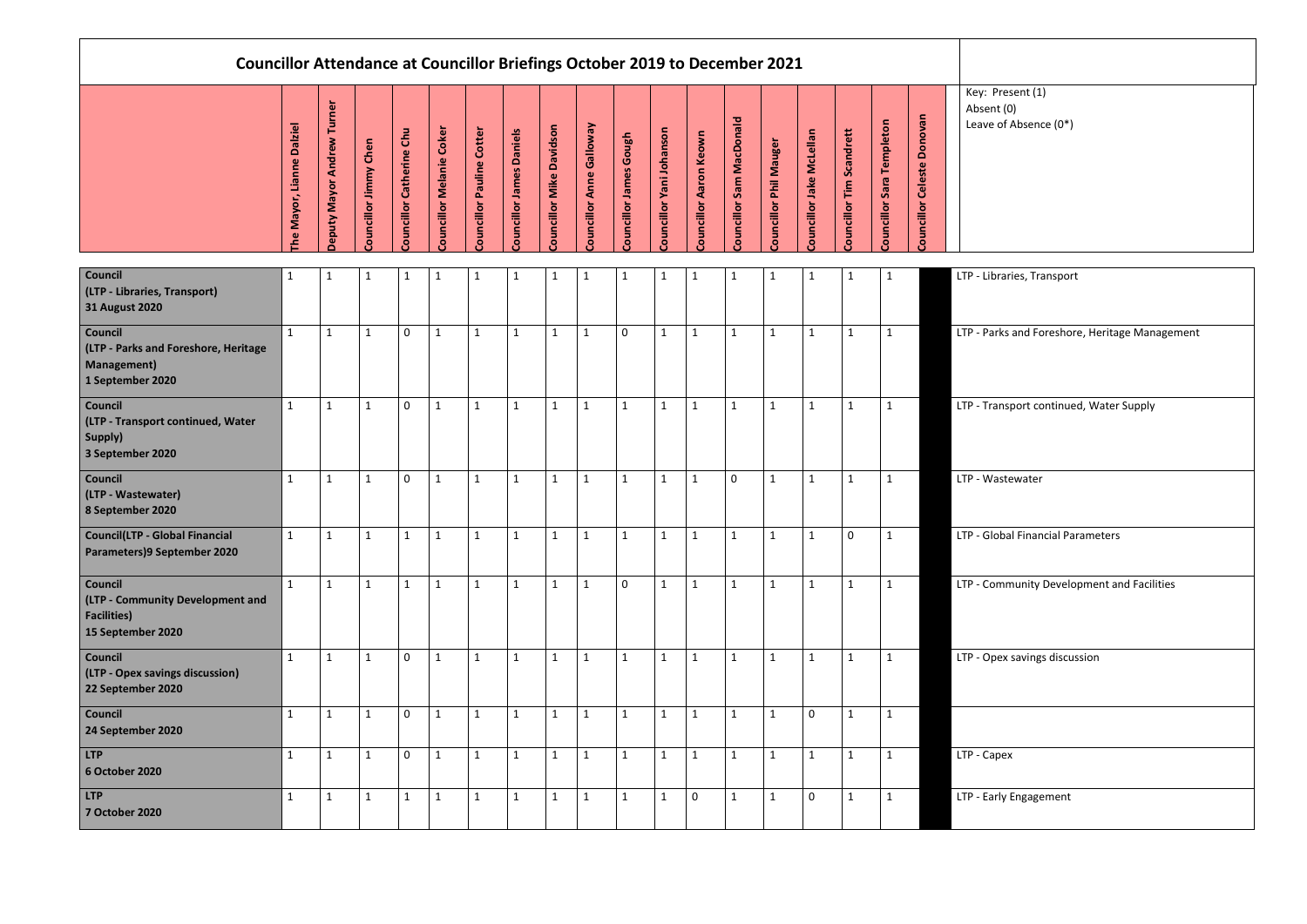| <b>Councillor Attendance at Councillor Briefings October 2019 to December 2021</b>                |                                        |                           |                       |                          |                                 |                           |                                 |                                 |                         |                               |                          |                        |                          |                               |                          |                          |                           |                            |                                                 |
|---------------------------------------------------------------------------------------------------|----------------------------------------|---------------------------|-----------------------|--------------------------|---------------------------------|---------------------------|---------------------------------|---------------------------------|-------------------------|-------------------------------|--------------------------|------------------------|--------------------------|-------------------------------|--------------------------|--------------------------|---------------------------|----------------------------|-------------------------------------------------|
|                                                                                                   | <b>Dalziel</b><br>Lianne<br>The Mayor, | eputy Mayor Andrew Turner | Councillor Jimmy Chen | Councillor Catherine Chu | <b>Councillor Melanie Coker</b> | Councillor Pauline Cotter | <b>Councillor James Daniels</b> | <b>Councillor Mike Davidson</b> | ouncillor Anne Galloway | <b>Councillor James Gough</b> | Councillor Yani Johanson | Councillor Aaron Keown | Councillor Sam MacDonald | <b>Councillor Phil Mauger</b> | Councillor Jake McLellan | Councillor Tim Scandrett | Councillor Sara Templeton | Councillor Celeste Donovan | Key: Present (1<br>Absent (0)<br>Leave of Absen |
| <b>Council</b><br>(LTP - Libraries, Transport)<br><b>31 August 2020</b>                           | $\mathbf{1}$                           | $\mathbf{1}$              | $\mathbf{1}$          | $\mathbf{1}$             | $\mathbf{1}$                    | $\mathbf{1}$              | $\mathbf{1}$                    | $\mathbf{1}$                    | $\mathbf{1}$            | $\mathbf{1}$                  | $\mathbf{1}$             | $\mathbf{1}$           | $\mathbf{1}$             | $\mathbf{1}$                  | $\mathbf{1}$             | $\mathbf{1}$             | 1                         |                            | LTP - Libraries, Tra                            |
| <b>Council</b><br>(LTP - Parks and Foreshore, Heritage<br><b>Management</b> )<br>1 September 2020 | $\mathbf{1}$                           | $\mathbf{1}$              | $\mathbf{1}$          | $\mathbf 0$              | $\mathbf{1}$                    | $\mathbf{1}$              | $\mathbf{1}$                    | $\mathbf{1}$                    | $\mathbf{1}$            | $\mathbf 0$                   | $\mathbf{1}$             | $\mathbf{1}$           | $\mathbf{1}$             | $\mathbf{1}$                  | $\mathbf{1}$             | $\mathbf{1}$             | 1                         |                            | LTP - Parks and Fo                              |
| <b>Council</b><br>(LTP - Transport continued, Water<br>Supply)<br>3 September 2020                | $\mathbf{1}$                           | $\mathbf{1}$              | $\mathbf{1}$          | $\mathbf 0$              | $\mathbf{1}$                    | $\mathbf{1}$              | $\mathbf{1}$                    | $\mathbf{1}$                    | $\mathbf{1}$            | $\mathbf{1}$                  | $\mathbf{1}$             | $\mathbf{1}$           | $\mathbf{1}$             | $\mathbf{1}$                  | $\mathbf{1}$             | $\mathbf{1}$             | $\mathbf{1}$              |                            | LTP - Transport co                              |
| <b>Council</b><br>(LTP - Wastewater)<br>8 September 2020                                          | $\mathbf{1}$                           | $\mathbf{1}$              | $\mathbf{1}$          | $\mathbf 0$              | $\mathbf{1}$                    | $\mathbf{1}$              | $\mathbf{1}$                    | $\mathbf{1}$                    | $\mathbf{1}$            | $\mathbf{1}$                  | $\mathbf{1}$             | $\mathbf{1}$           | $\mathbf 0$              | $\mathbf{1}$                  | $\mathbf{1}$             | $\mathbf{1}$             | 1                         |                            | LTP - Wastewater                                |
| <b>Council(LTP - Global Financial</b><br>Parameters)9 September 2020                              | $\mathbf{1}$                           |                           | -1                    | -1                       |                                 |                           |                                 |                                 |                         |                               |                          | 1                      |                          | $\mathbf 1$                   |                          | 0                        |                           |                            | LTP - Global Finar                              |
| <b>Council</b><br>(LTP - Community Development and<br><b>Facilities)</b><br>15 September 2020     | $\mathbf{1}$                           | $\mathbf{1}$              | $\mathbf{1}$          | $\mathbf{1}$             | $\mathbf{1}$                    | $\mathbf{1}$              | $\mathbf{1}$                    | $\mathbf{1}$                    | $\mathbf{1}$            | $\mathbf 0$                   | $\mathbf{1}$             | $\mathbf{1}$           | $\mathbf{1}$             | $\mathbf{1}$                  | $\mathbf{1}$             | $\mathbf{1}$             | $\mathbf{1}$              |                            | LTP - Community                                 |
| <b>Council</b><br>(LTP - Opex savings discussion)<br>22 September 2020                            | $\mathbf{1}$                           | $\mathbf{1}$              | $\mathbf{1}$          | $\mathbf 0$              | $\mathbf{1}$                    | $\mathbf{1}$              | $\mathbf{1}$                    | $\mathbf{1}$                    | $\mathbf{1}$            | $\mathbf{1}$                  | $\mathbf{1}$             | $\mathbf{1}$           | $\mathbf{1}$             | $\mathbf{1}$                  | $\mathbf{1}$             | $\mathbf{1}$             | $\mathbf{1}$              |                            | LTP - Opex saving                               |
| <b>Council</b><br>24 September 2020                                                               | $\mathbf{1}$                           | $\mathbf{1}$              | $\mathbf{1}$          | $\mathbf 0$              | $\mathbf{1}$                    | $\mathbf{1}$              | $\mathbf{1}$                    | $\mathbf{1}$                    | $\mathbf{1}$            | $\mathbf{1}$                  | $\mathbf{1}$             | $\mathbf{1}$           | $\mathbf{1}$             | $\mathbf{1}$                  | $\mathbf 0$              | $\mathbf{1}$             | $\mathbf{1}$              |                            |                                                 |
| <b>LTP</b><br><b>6 October 2020</b>                                                               | $\mathbf{1}$                           | $\mathbf{1}$              | $\mathbf{1}$          | $\mathbf 0$              | $\mathbf{1}$                    | $\mathbf{1}$              | $\mathbf{1}$                    | $\mathbf{1}$                    | $\mathbf{1}$            | $\mathbf{1}$                  | $\mathbf{1}$             | $\mathbf{1}$           | $\mathbf{1}$             | $\mathbf{1}$                  | $\mathbf{1}$             | $\mathbf{1}$             | $\mathbf{1}$              |                            | LTP - Capex                                     |
| <b>LTP</b><br><b>7 October 2020</b>                                                               | $\mathbf{1}$                           | $\mathbf{1}$              | $\mathbf 1$           | $\mathbf{1}$             | $\mathbf{1}$                    | $\mathbf{1}$              | $\mathbf{1}$                    | $\mathbf{1}$                    | $\mathbf{1}$            | $\mathbf{1}$                  | $\mathbf{1}$             | $\mathbf 0$            | $\mathbf{1}$             | $\mathbf{1}$                  | $\mathbf 0$              | $\mathbf{1}$             | $\mathbf{1}$              |                            | LTP - Early Engage                              |

 $R$  Present  $(1)$ ent (0) ve of Absence (0\*)

Libraries, Transport

Parks and Foreshore, Heritage Management

**Transport continued, Water Supply** 

1 1 1 1 1 1 1 1 1 1 1 1 1 1 1 0 1 LTP - Global Financial Parameters

Community Development and Facilities

**Opex savings discussion** 

Early Engagement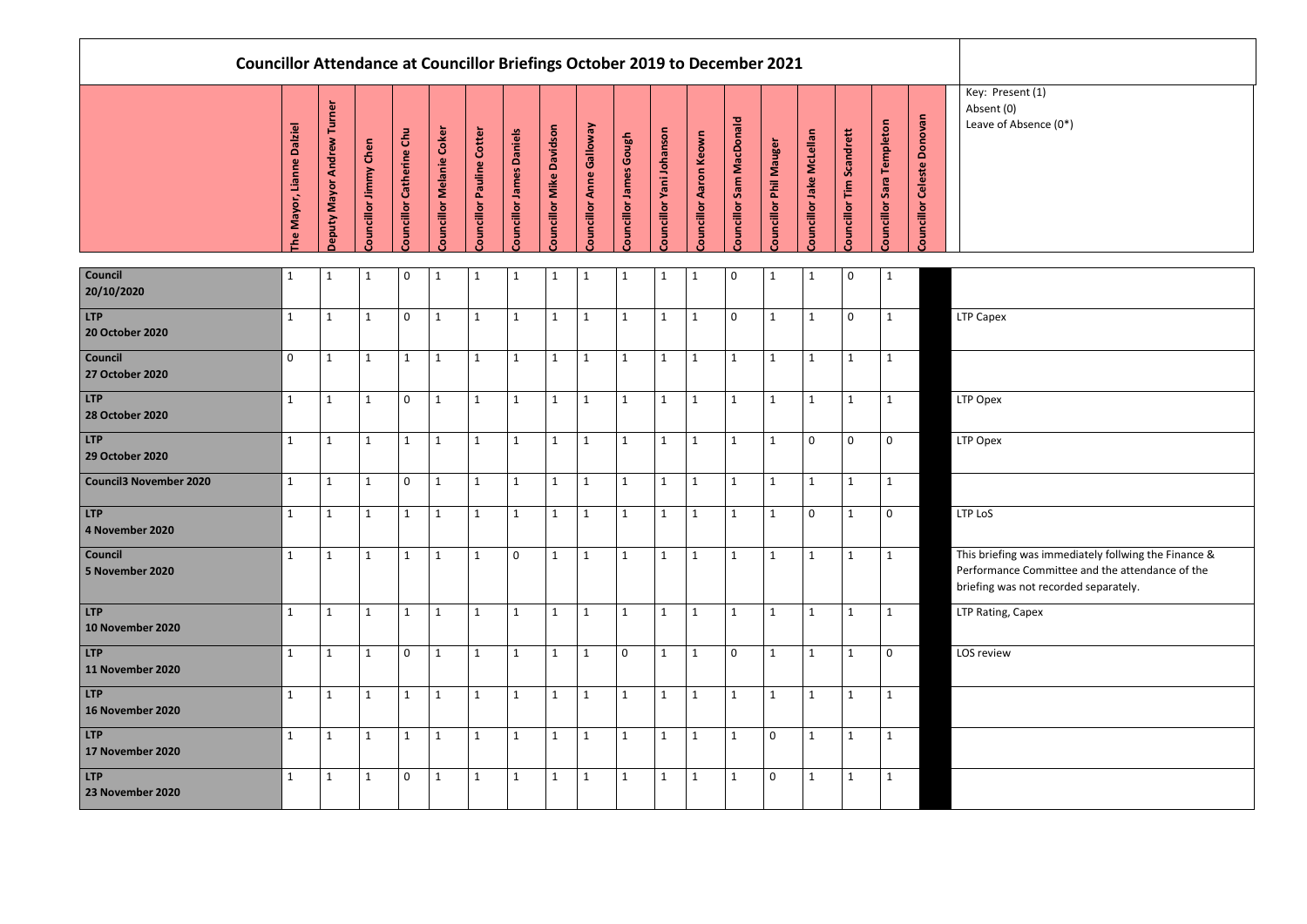|                                      | <b>Councillor Attendance at Councillor Briefings October 2019 to December 2021</b> |                                     |                       |                          |                          |                           |                                |                          |                                 |                        |                          |                        |                         |                       |                          |                             |                           |                            |                                                                                                                                                  |
|--------------------------------------|------------------------------------------------------------------------------------|-------------------------------------|-----------------------|--------------------------|--------------------------|---------------------------|--------------------------------|--------------------------|---------------------------------|------------------------|--------------------------|------------------------|-------------------------|-----------------------|--------------------------|-----------------------------|---------------------------|----------------------------|--------------------------------------------------------------------------------------------------------------------------------------------------|
|                                      | The Mayor, Lianne Dalziel                                                          | Turner<br>Andrew<br>Mayor<br>Deputy | Councillor Jimmy Chen | Councillor Catherine Chu | Councillor Melanie Coker | Councillor Pauline Cotter | <b>ouncillor James Daniels</b> | Councillor Mike Davidson | <b>Councillor Anne Galloway</b> | Councillor James Gough | Councillor Yani Johanson | Councillor Aaron Keown | ouncillor Sam MacDonald | ouncillor Phil Mauger | Councillor Jake McLellan | Scandrett<br>Councillor Tim | Councillor Sara Templeton | Councillor Celeste Donovan | Key: Present (1)<br>Absent (0)<br>Leave of Absence (0*)                                                                                          |
| Council<br>20/10/2020                | 1                                                                                  | 1                                   | 1                     | 0                        |                          | -1                        | 1                              | 1                        | $\mathbf 1$                     | $\mathbf{1}$           | $\mathbf{1}$             | $\mathbf 1$            | 0                       |                       | 1                        | 0                           | $\mathbf{1}$              |                            |                                                                                                                                                  |
| <b>LTP</b><br><b>20 October 2020</b> | $\mathbf{1}$                                                                       | $\mathbf 1$                         | $\mathbf{1}$          | $\mathbf 0$              | $\mathbf{1}$             | $\mathbf{1}$              | $\mathbf{1}$                   | $\mathbf{1}$             | $\mathbf{1}$                    | $\mathbf{1}$           | $\mathbf{1}$             | $\mathbf{1}$           | $\mathbf 0$             | $\mathbf{1}$          | $\mathbf{1}$             | $\mathbf 0$                 | $\mathbf{1}$              |                            | <b>LTP Capex</b>                                                                                                                                 |
| Council<br>27 October 2020           | $\mathbf 0$                                                                        | $\mathbf{1}$                        | $\mathbf{1}$          | 1                        | 1                        | $\mathbf 1$               | $\mathbf{1}$                   | $\mathbf{1}$             | $\mathbf{1}$                    | $\mathbf{1}$           | $\mathbf{1}$             | $\mathbf{1}$           | $\mathbf{1}$            | $\mathbf{1}$          | $\mathbf{1}$             | $\mathbf{1}$                | $\mathbf{1}$              |                            |                                                                                                                                                  |
| <b>LTP</b><br><b>28 October 2020</b> | $\mathbf{1}$                                                                       | $\mathbf 1$                         | 1                     | 0                        | 1                        | $\mathbf{1}$              | $\mathbf 1$                    | $\mathbf{1}$             | $\mathbf 1$                     | $\mathbf{1}$           | $\mathbf{1}$             | $\mathbf{1}$           | 1                       | 1                     | $\mathbf{1}$             | $\mathbf{1}$                | $\mathbf{1}$              |                            | LTP Opex                                                                                                                                         |
| L <sub>TP</sub><br>29 October 2020   | $\mathbf{1}$                                                                       | 1                                   | $\mathbf{1}$          | $\mathbf{1}$             | 1                        | $\mathbf{1}$              | $\mathbf 1$                    | $\mathbf{1}$             | $\mathbf{1}$                    | $\mathbf{1}$           | 1                        | $\mathbf{1}$           | $\mathbf{1}$            | $\mathbf{1}$          | $\mathbf 0$              | $\mathbf 0$                 | $\mathbf 0$               |                            | LTP Opex                                                                                                                                         |
| <b>Council3 November 2020</b>        | $\mathbf{1}$                                                                       | 1                                   | $\mathbf{1}$          | $\mathbf 0$              | $\mathbf{1}$             | $\mathbf{1}$              | $\mathbf{1}$                   | $\mathbf{1}$             | $\mathbf{1}$                    | $\mathbf{1}$           | $\mathbf{1}$             | $\mathbf{1}$           | 1                       | $\mathbf{1}$          | $\mathbf{1}$             | $\mathbf{1}$                | $\mathbf{1}$              |                            |                                                                                                                                                  |
| <b>LTP</b><br>4 November 2020        | $\mathbf{1}$                                                                       | 1                                   | $\mathbf{1}$          | $\mathbf{1}$             | $\mathbf{1}$             | $\mathbf{1}$              | $\mathbf{1}$                   | $\mathbf{1}$             | $\mathbf{1}$                    | $\mathbf{1}$           | $\mathbf{1}$             | $\mathbf{1}$           | 1                       | 1                     | $\mathbf 0$              | $\mathbf{1}$                | 0                         |                            | LTP LoS                                                                                                                                          |
| Council<br>5 November 2020           | $\mathbf{1}$                                                                       | 1                                   | $\mathbf{1}$          | $\mathbf{1}$             | $\mathbf{1}$             | $\mathbf{1}$              | $\mathbf 0$                    | $\mathbf{1}$             | $\mathbf{1}$                    | $\mathbf{1}$           | $\mathbf{1}$             | $\mathbf{1}$           | $\mathbf{1}$            | $\mathbf{1}$          | $\mathbf{1}$             | $\mathbf{1}$                | $\mathbf{1}$              |                            | This briefing was immediately follwing the Finance &<br>Performance Committee and the attendance of the<br>briefing was not recorded separately. |
| <b>LTP</b><br>10 November 2020       | $\mathbf{1}$                                                                       | $\mathbf{1}$                        | $\mathbf{1}$          | $\mathbf{1}$             | $\mathbf{1}$             | $\mathbf{1}$              | $\mathbf{1}$                   | $\mathbf{1}$             | $\mathbf{1}$                    | $\mathbf{1}$           | $\mathbf{1}$             | $\mathbf{1}$           | $\mathbf{1}$            | $\mathbf{1}$          | $\mathbf{1}$             | $\mathbf{1}$                | $\mathbf{1}$              |                            | LTP Rating, Capex                                                                                                                                |
| <b>LTP</b><br>11 November 2020       | $\mathbf{1}$                                                                       | $\mathbf{1}$                        | $\mathbf{1}$          | $\mathbf 0$              | $\mathbf{1}$             | $\mathbf{1}$              | $\mathbf{1}$                   | $\mathbf{1}$             | $\mathbf{1}$                    | $\mathbf 0$            | $\mathbf{1}$             | $\mathbf{1}$           | $\mathsf 0$             | $\mathbf{1}$          | $\mathbf{1}$             | $\mathbf{1}$                | $\mathbf 0$               |                            | LOS review                                                                                                                                       |
| <b>LTP</b><br>16 November 2020       | $\mathbf{1}$                                                                       | $\mathbf{1}$                        | $\mathbf{1}$          | $\mathbf 1$              | $\mathbf{1}$             | $\mathbf{1}$              | $\mathbf{1}$                   | $\mathbf{1}$             | $\mathbf{1}$                    | $\mathbf{1}$           | $\mathbf{1}$             | $\mathbf{1}$           | $\mathbf{1}$            | 1                     | $\mathbf{1}$             | $\mathbf{1}$                | $\mathbf{1}$              |                            |                                                                                                                                                  |
| <b>LTP</b><br>17 November 2020       | $\mathbf{1}$                                                                       | $\mathbf{1}$                        | $\mathbf{1}$          | $\mathbf{1}$             | $\mathbf{1}$             | $\mathbf{1}$              | $\mathbf{1}$                   | $\mathbf{1}$             | $\mathbf{1}$                    | $\mathbf{1}$           | $\mathbf{1}$             | $\mathbf{1}$           | $\mathbf{1}$            | $\mathbf 0$           | $\mathbf{1}$             | $\mathbf{1}$                | $\mathbf{1}$              |                            |                                                                                                                                                  |
| <b>LTP</b><br>23 November 2020       | $\mathbf{1}$                                                                       | $\mathbf{1}$                        | $\mathbf{1}$          | $\mathbf 0$              | $\mathbf{1}$             | $\mathbf{1}$              | $\mathbf{1}$                   | $\mathbf{1}$             | $\mathbf{1}$                    | $\mathbf{1}$           | $\mathbf{1}$             | $\mathbf{1}$           | $\mathbf{1}$            | $\mathbf 0$           | $\mathbf{1}$             | $\mathbf{1}$                | $\mathbf{1}$              |                            |                                                                                                                                                  |

# $:$  Present  $(1)$ ent (0) ve of Absence (0\*)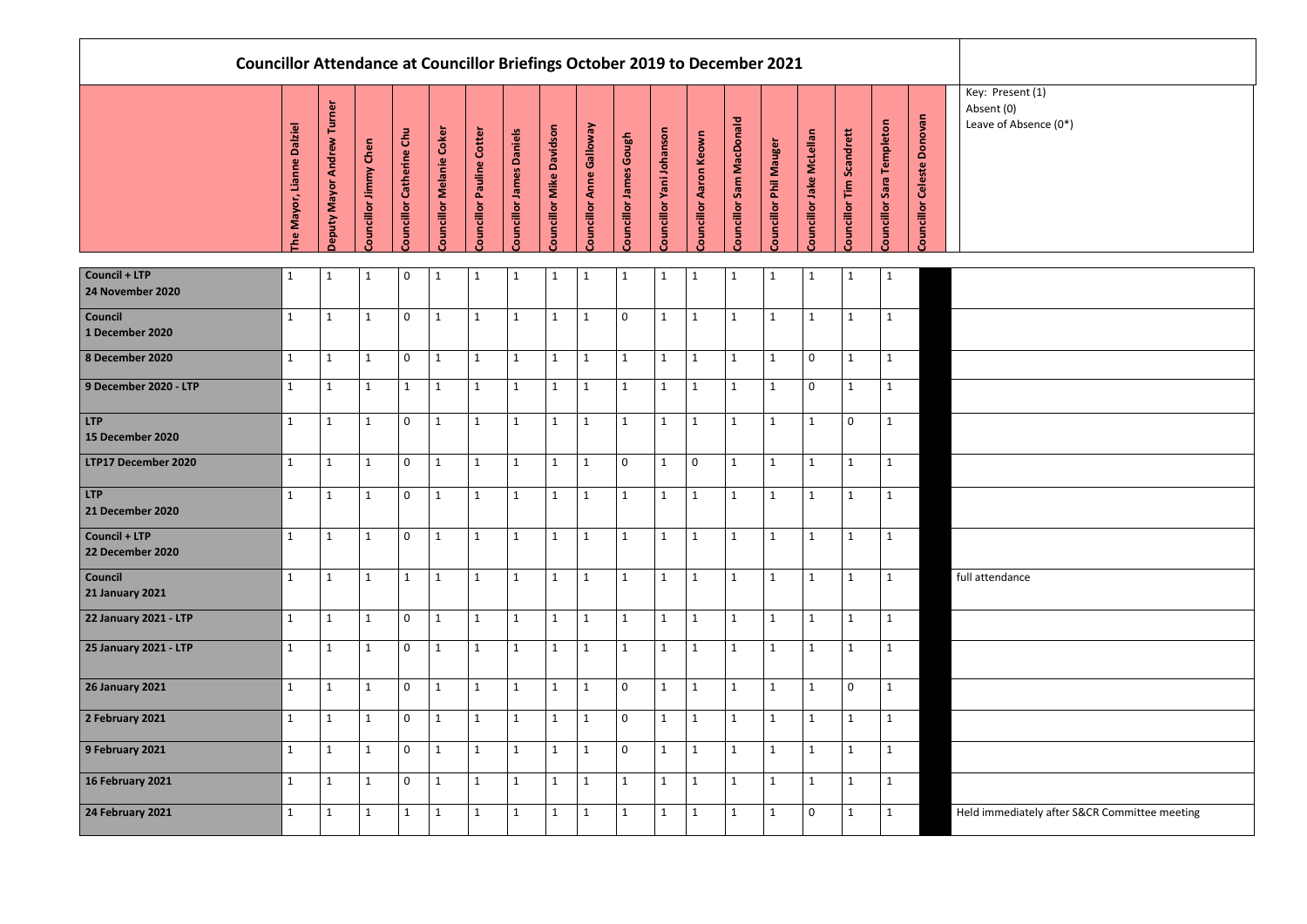|                                          |                                                  |                                   |                       |                         |                         |                                 |                          |                         |                          |                        |                          |                        | <b>Councillor Attendance at Councillor Briefings October 2019 to December 2021</b> |                        |                          |                         |                          |                                      |                                                         |
|------------------------------------------|--------------------------------------------------|-----------------------------------|-----------------------|-------------------------|-------------------------|---------------------------------|--------------------------|-------------------------|--------------------------|------------------------|--------------------------|------------------------|------------------------------------------------------------------------------------|------------------------|--------------------------|-------------------------|--------------------------|--------------------------------------|---------------------------------------------------------|
|                                          | <b>Dalziel</b><br>Lianne<br>Mayor,<br><b>Che</b> | <b>Deputy Mayor Andrew Turner</b> | Councillor Jimmy Chen | ouncillor Catherine Chu | ouncillor Melanie Coker | <b>ouncillor Pauline Cotter</b> | Councillor James Daniels | ouncillor Mike Davidson | Councillor Anne Galloway | Councillor James Gough | Councillor Yani Johanson | Councillor Aaron Keown | Councillor Sam MacDonald                                                           | Councillor Phil Mauger | Councillor Jake McLellan | ouncillor Tim Scandrett | ouncillor Sara Templeton | <b>Donovan</b><br>Councillor Celeste | Key: Present (1)<br>Absent (0)<br>Leave of Absence (0*) |
| Council + LTP<br>24 November 2020        | $\mathbf{1}$                                     | $\mathbf{1}$                      | $\mathbf 1$           | $\mathbf 0$             | $\mathbf{1}$            | 1                               | $\mathbf{1}$             | 1                       | 1                        | $\mathbf{1}$           | 1                        | $\mathbf{1}$           | 1                                                                                  | $\mathbf{1}$           | $\mathbf{1}$             | $\mathbf{1}$            | $\mathbf{1}$             |                                      |                                                         |
| Council<br>1 December 2020               | $\mathbf{1}$                                     | $\mathbf{1}$                      | $\mathbf{1}$          | $\mathbf 0$             | $\mathbf{1}$            | $\mathbf{1}$                    | $\mathbf{1}$             | $\mathbf{1}$            | $\mathbf{1}$             | $\mathbf 0$            | 1                        | $\mathbf{1}$           | $\mathbf{1}$                                                                       | $\mathbf{1}$           | $\mathbf{1}$             | $\mathbf{1}$            | $\mathbf{1}$             |                                      |                                                         |
| 8 December 2020                          | $\mathbf{1}$                                     | $\mathbf{1}$                      | $\mathbf{1}$          | $\mathbf 0$             | $\mathbf{1}$            | $\mathbf{1}$                    | $\mathbf{1}$             | $\mathbf{1}$            | $\mathbf{1}$             | $\mathbf 1$            | 1                        | $\mathbf{1}$           | $\mathbf{1}$                                                                       | $\mathbf{1}$           | $\mathbf 0$              | $\mathbf{1}$            | $\mathbf{1}$             |                                      |                                                         |
| 9 December 2020 - LTP                    | $\mathbf{1}$                                     | $\mathbf{1}$                      | $\mathbf{1}$          | $\mathbf{1}$            | $\mathbf{1}$            | $\mathbf{1}$                    | $\mathbf{1}$             | $\mathbf{1}$            | $\mathbf{1}$             | $\mathbf 1$            | 1                        | $\mathbf{1}$           | $\mathbf{1}$                                                                       | $\mathbf{1}$           | $\mathbf 0$              | $\mathbf{1}$            | $\mathbf{1}$             |                                      |                                                         |
| LTP<br>15 December 2020                  | $\mathbf{1}$                                     | $\mathbf{1}$                      | $\mathbf{1}$          | $\mathbf 0$             | $\mathbf{1}$            | $\mathbf{1}$                    | $\mathbf{1}$             | $\mathbf{1}$            | $\mathbf{1}$             | $\mathbf 1$            | 1                        | $\mathbf{1}$           | $\mathbf{1}$                                                                       | $\mathbf{1}$           | $\mathbf{1}$             | $\mathsf 0$             | $\mathbf 1$              |                                      |                                                         |
| LTP17 December 2020                      | $\mathbf{1}$                                     | $\mathbf{1}$                      | $\mathbf{1}$          | $\mathbf 0$             | $\mathbf{1}$            | $\mathbf{1}$                    | $\mathbf{1}$             | $\mathbf{1}$            | $\mathbf{1}$             | 0                      | 1                        | $\mathbf 0$            | $\mathbf{1}$                                                                       | $\mathbf{1}$           | $\mathbf{1}$             | $\mathbf{1}$            | $\mathbf{1}$             |                                      |                                                         |
| LTP<br>21 December 2020                  | $\mathbf{1}$                                     | $\mathbf{1}$                      | $\mathbf{1}$          | $\mathbf 0$             | $\mathbf{1}$            | $\mathbf{1}$                    | $\mathbf{1}$             | $\mathbf{1}$            | $\mathbf{1}$             | $\mathbf{1}$           | $\mathbf{1}$             | $\mathbf{1}$           | $\mathbf{1}$                                                                       | $\mathbf{1}$           | $\mathbf{1}$             | $\mathbf{1}$            | $\mathbf{1}$             |                                      |                                                         |
| <b>Council + LTP</b><br>22 December 2020 | -1                                               | $\mathbf{1}$                      | -1                    | $\pmb{0}$               | $\vert 1 \vert$         | $\vert 1 \vert$                 | $\mathbf{1}$             | 1                       | $\vert 1 \vert$          | $\vert 1 \vert$        |                          | $\mathbf{1}$           | $\mathbf{1}$                                                                       | $\vert 1 \vert$        |                          | $\mathbf{1}$            | -1                       |                                      |                                                         |
| Council<br><b>21 January 2021</b>        | $\mathbf{1}$                                     | $\mathbf{1}$                      | $\mathbf{1}$          | $\mathbf{1}$            | $\mathbf{1}$            | $\mathbf{1}$                    | $\mathbf{1}$             | $\mathbf{1}$            | $\mathbf{1}$             | $\mathbf{1}$           | $\mathbf{1}$             | $\mathbf{1}$           | $\mathbf{1}$                                                                       | $\mathbf{1}$           | $\mathbf{1}$             | $\mathbf{1}$            | $\mathbf{1}$             |                                      | full attendance                                         |
| 22 January 2021 - LTP                    | $\mathbf{1}$                                     | $\mathbf{1}$                      | $\mathbf{1}$          | $\mathsf{O}$            | $\mathbf{1}$            | $\mathbf{1}$                    | $\mathbf{1}$             | $\mathbf{1}$            | $\mathbf{1}$             | $\mathbf 1$            | 1                        | $\mathbf{1}$           | $\mathbf{1}$                                                                       | $\mathbf{1}$           | $\mathbf{1}$             | $\mathbf{1}$            | $\mathbf{1}$             |                                      |                                                         |
| <b>25 January 2021 - LTP</b>             | $\mathbf{1}$                                     | $\mathbf{1}$                      | $\mathbf{1}$          | $\mathsf{O}$            | $\mathbf{1}$            | $\mathbf{1}$                    | $\mathbf{1}$             | $\mathbf{1}$            | $\mathbf{1}$             | $\mathbf 1$            | 1                        | $\mathbf{1}$           | $\mathbf{1}$                                                                       | $\mathbf{1}$           | $\mathbf{1}$             | $\mathbf{1}$            | $\mathbf 1$              |                                      |                                                         |
| <b>26 January 2021</b>                   | $\mathbf{1}$                                     | $\mathbf{1}$                      | $\mathbf{1}$          | $\mathbf 0$             | $\mathbf{1}$            | $\mathbf{1}$                    | $\mathbf{1}$             | $\mathbf{1}$            | $\mathbf{1}$             | $\mathbf 0$            | $\mathbf{1}$             | $\mathbf{1}$           | $\mathbf{1}$                                                                       | $\mathbf{1}$           | $\mathbf{1}$             | $\mathsf 0$             | $\mathbf{1}$             |                                      |                                                         |
| 2 February 2021                          | $\mathbf{1}$                                     | $\mathbf 1$                       | $\mathbf{1}$          | $\mathbf 0$             | $\mathbf 1$             | $\mathbf{1}$                    | $\mathbf{1}$             | $\mathbf 1$             | $\mathbf{1}$             | $\pmb{0}$              | $\mathbf{1}$             | $\mathbf{1}$           | $\mathbf{1}$                                                                       | $\mathbf{1}$           | $\mathbf{1}$             | $\mathbf{1}$            | $\mathbf{1}$             |                                      |                                                         |
| 9 February 2021                          | $\mathbf{1}$                                     | $\mathbf{1}$                      | $\mathbf{1}$          | $\mathbf 0$             | $\mathbf{1}$            | $\mathbf{1}$                    | $\mathbf{1}$             | $\mathbf{1}$            | $\mathbf{1}$             | $\mathbf 0$            | 1                        | $\mathbf{1}$           | $\mathbf{1}$                                                                       | $\mathbf{1}$           | $\mathbf{1}$             | $\mathbf{1}$            | $\mathbf{1}$             |                                      |                                                         |
| 16 February 2021                         | $\mathbf{1}$                                     | $\mathbf{1}$                      | $\mathbf{1}$          | $\mathsf{O}\xspace$     | $\mathbf{1}$            | $\mathbf{1}$                    | $\mathbf{1}$             | $\mathbf{1}$            | $\mathbf{1}$             | $\mathbf 1$            | $\mathbf{1}$             | $\mathbf{1}$           | $\mathbf{1}$                                                                       | $\mathbf{1}$           | $\mathbf{1}$             | $\mathbf{1}$            | $\mathbf 1$              |                                      |                                                         |
| 24 February 2021                         | $\mathbf{1}$                                     | $\mathbf{1}$                      | $\mathbf{1}$          | $\mathbf{1}$            | $\mathbf{1}$            | $\mathbf{1}$                    | $\mathbf{1}$             | 1                       | $\mathbf{1}$             | $\mathbf 1$            | 1                        | $\mathbf{1}$           | $\mathbf{1}$                                                                       | $\mathbf{1}$           | $\mathsf 0$              | $\mathbf{1}$            | $\mathbf 1$              |                                      | Held immediately after S&CR Committee meeting           |

## $R$  Present  $(1)$ ent (0) ve of Absence (0\*)

| endance                                 |
|-----------------------------------------|
|                                         |
|                                         |
|                                         |
|                                         |
|                                         |
|                                         |
| mmediately after S&CR Committee meeting |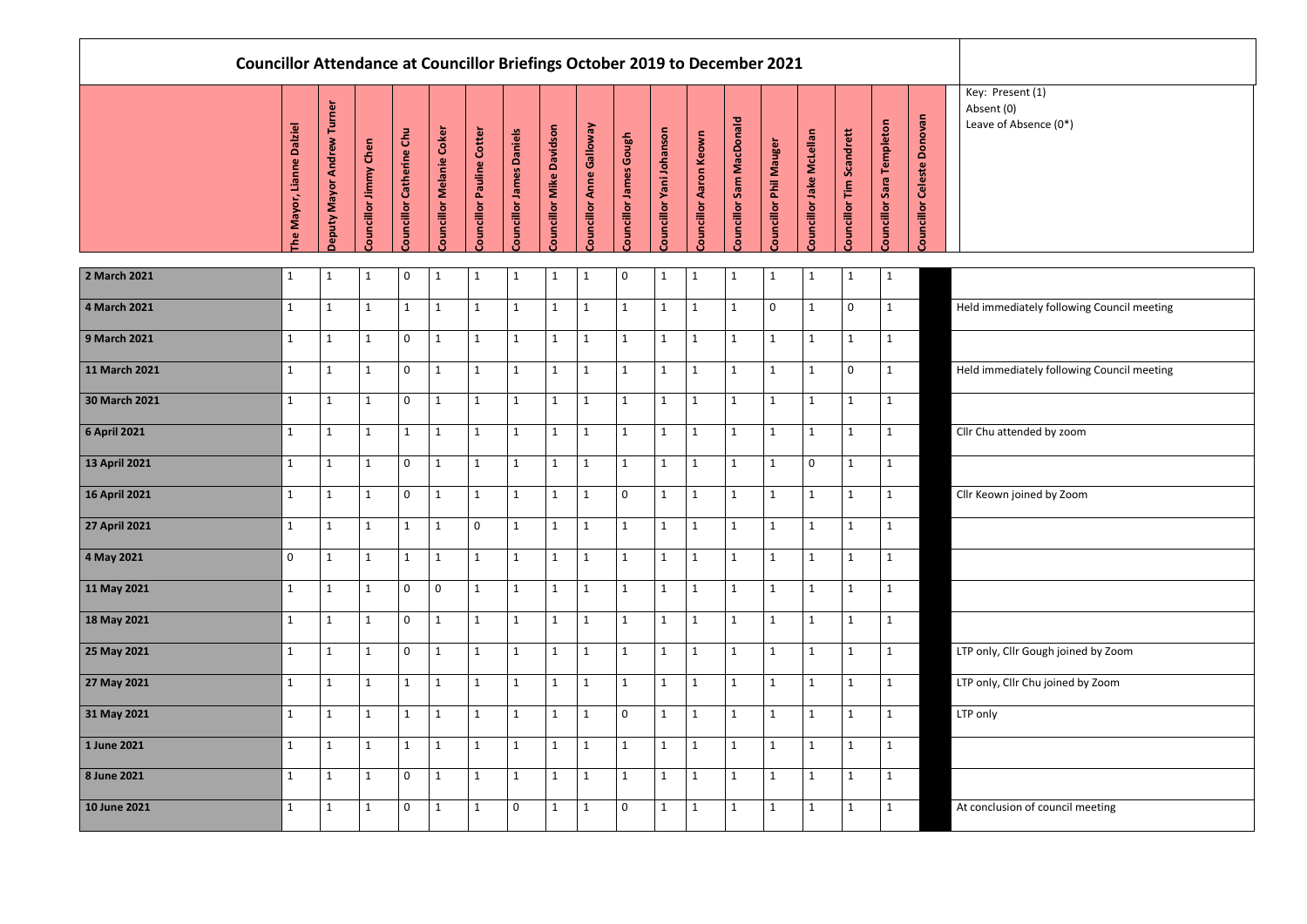|                      |                                          |                               |                          |                          | <b>Councillor Attendance at Councillor Briefings October 2019 to December 2021</b> |                                  |                          |                          |                                 |                        |                          |                               |                          |                        |                          |                                 |                           |                                   |                                                         |
|----------------------|------------------------------------------|-------------------------------|--------------------------|--------------------------|------------------------------------------------------------------------------------|----------------------------------|--------------------------|--------------------------|---------------------------------|------------------------|--------------------------|-------------------------------|--------------------------|------------------------|--------------------------|---------------------------------|---------------------------|-----------------------------------|---------------------------------------------------------|
|                      | <b>Dalziel</b><br>Lianne<br>Mayor,<br>e. | Turner<br>Deputy Mayor Andrew | Chen<br>Councillor Jimmy | Councillor Catherine Chu | <b>Councillor Melanie Coker</b>                                                    | <b>Councillor Pauline Cotter</b> | Councillor James Daniels | Councillor Mike Davidson | <b>Councillor Anne Galloway</b> | Councillor James Gough | Councillor Yani Johanson | <b>Councillor Aaron Keown</b> | Councillor Sam MacDonald | Councillor Phil Mauger | Councillor Jake McLellan | <b>Councillor Tim Scandrett</b> | Councillor Sara Templeton | <b>Councillor Celeste Donovan</b> | Key: Present (1)<br>Absent (0)<br>Leave of Absence (0*) |
| 2 March 2021         | 1                                        | $\mathbf{1}$                  | $\mathbf{1}$             | 0                        | $\mathbf{1}$                                                                       | $\mathbf{1}$                     | $\mathbf{1}$             | $\mathbf{1}$             | $\mathbf{1}$                    | $\mathbf 0$            | $\mathbf{1}$             | $\mathbf{1}$                  | $\mathbf{1}$             | $\mathbf{1}$           | -1                       | $\mathbf{1}$                    | $\mathbf{1}$              |                                   |                                                         |
| 4 March 2021         | 1                                        | $\mathbf{1}$                  | 1                        | 1                        | $\mathbf{1}$                                                                       | $\mathbf{1}$                     | $\mathbf{1}$             | $\mathbf{1}$             | $\mathbf{1}$                    | 1                      | $\mathbf{1}$             | $\mathbf{1}$                  | 1                        | $\mathbf 0$            | 1                        | $\mathbf 0$                     | $\mathbf 1$               |                                   | Held immediately following Council meeting              |
| 9 March 2021         | $\mathbf{1}$                             | $\mathbf{1}$                  | $\mathbf{1}$             | $\mathbf 0$              | $\mathbf{1}$                                                                       | $\mathbf{1}$                     | $\mathbf{1}$             | $\mathbf{1}$             | $\mathbf{1}$                    | $\mathbf{1}$           | $\mathbf{1}$             | $\mathbf{1}$                  | $\mathbf{1}$             | $\mathbf{1}$           | 1                        | $\mathbf{1}$                    | $\mathbf{1}$              |                                   |                                                         |
| 11 March 2021        | $\mathbf{1}$                             | $\mathbf{1}$                  | $\mathbf{1}$             | 0                        | $\mathbf{1}$                                                                       | $\mathbf{1}$                     | $\mathbf{1}$             | $\mathbf{1}$             | $\mathbf{1}$                    | $\mathbf{1}$           | $\mathbf{1}$             | $\mathbf{1}$                  | $\mathbf{1}$             | $\mathbf{1}$           | 1                        | $\mathsf 0$                     | $\mathbf{1}$              |                                   | Held immediately following Council meeting              |
| 30 March 2021        | $\mathbf{1}$                             | $\mathbf{1}$                  | $\mathbf{1}$             | 0                        | $\mathbf{1}$                                                                       | $\mathbf{1}$                     | $\mathbf{1}$             | $\mathbf{1}$             | $\mathbf{1}$                    | 1                      | $\mathbf{1}$             | $\mathbf{1}$                  | $\mathbf{1}$             | $\mathbf{1}$           | 1                        | $\mathbf{1}$                    | $\mathbf{1}$              |                                   |                                                         |
| <b>6 April 2021</b>  | 1                                        | $\mathbf{1}$                  | $\mathbf{1}$             | $\mathbf{1}$             | $\mathbf{1}$                                                                       | $\mathbf{1}$                     | $\mathbf{1}$             | $\mathbf{1}$             | $\mathbf{1}$                    | $\mathbf 1$            | $\mathbf{1}$             | $\mathbf{1}$                  | $\mathbf{1}$             | $\mathbf{1}$           | 1                        | $\mathbf{1}$                    | $\mathbf{1}$              |                                   | Cllr Chu attended by zoom                               |
| 13 April 2021        | $\mathbf{1}$                             | $\mathbf{1}$                  | $\mathbf{1}$             | 0                        | $\mathbf{1}$                                                                       | $\mathbf{1}$                     | $\mathbf{1}$             | $\mathbf{1}$             | $\mathbf{1}$                    | 1                      | $\mathbf{1}$             | $\mathbf{1}$                  | $\mathbf{1}$             | $\mathbf{1}$           | $\mathbf 0$              | $\mathbf{1}$                    | $\mathbf{1}$              |                                   |                                                         |
| <b>16 April 2021</b> | 1                                        | $\mathbf{1}$                  | $\mathbf{1}$             | 0                        | 1                                                                                  | $\mathbf{1}$                     | $\mathbf{1}$             | $\mathbf{1}$             | $\mathbf{1}$                    | $\mathbf 0$            | $\mathbf{1}$             | $\mathbf{1}$                  | $\mathbf{1}$             | $\mathbf{1}$           | $\mathbf{1}$             | $\mathbf{1}$                    | $\mathbf{1}$              |                                   | Cllr Keown joined by Zoom                               |
| <b>27 April 2021</b> | $\mathbf{1}$                             | $\mathbf{1}$                  | $\mathbf{1}$             | $\mathbf{1}$             | $\mathbf{1}$                                                                       | $\mathbf 0$                      | $\mathbf{1}$             | $\mathbf{1}$             | $\mathbf{1}$                    | 1                      | $\mathbf{1}$             | $\mathbf{1}$                  | $\mathbf{1}$             | $\mathbf{1}$           | $\mathbf{1}$             | $\mathbf{1}$                    | $\mathbf{1}$              |                                   |                                                         |
| 4 May 2021           | $\mathsf{O}\xspace$                      | $\mathbf{1}$                  | $\mathbf{1}$             | $\mathbf{1}$             | $\mathbf{1}$                                                                       | $\mathbf{1}$                     | $\mathbf{1}$             | $\mathbf{1}$             | $\mathbf{1}$                    | $\mathbf{1}$           | $\mathbf{1}$             | $\mathbf{1}$                  | $\mathbf{1}$             | $\mathbf{1}$           | 1                        | $\mathbf{1}$                    | $\mathbf{1}$              |                                   |                                                         |
| 11 May 2021          | $\mathbf{1}$                             | $\mathbf{1}$                  | $\mathbf{1}$             | $\mathbf 0$              | $\mathbf 0$                                                                        | $\mathbf{1}$                     | $\mathbf{1}$             | $\mathbf{1}$             | $\mathbf{1}$                    | $\mathbf{1}$           | $\mathbf{1}$             | $\mathbf{1}$                  | $\mathbf{1}$             | $\mathbf{1}$           | $\mathbf{1}$             | $\mathbf{1}$                    | $\mathbf{1}$              |                                   |                                                         |
| 18 May 2021          | $\mathbf{1}$                             | $\mathbf{1}$                  | $\mathbf{1}$             | 0                        | $\mathbf{1}$                                                                       | $\mathbf{1}$                     | $\mathbf{1}$             | $\mathbf{1}$             | $\mathbf{1}$                    | $\mathbf{1}$           | $\mathbf{1}$             | $\mathbf{1}$                  | $\mathbf{1}$             | $\mathbf{1}$           | $\mathbf{1}$             | $\mathbf{1}$                    | $\mathbf{1}$              |                                   |                                                         |
| 25 May 2021          | $\mathbf{1}$                             | $\mathbf{1}$                  | $\mathbf{1}$             | $\mathbf 0$              | $\mathbf{1}$                                                                       | $\mathbf{1}$                     | $\mathbf{1}$             | $\mathbf{1}$             | $\mathbf{1}$                    | $\mathbf{1}$           | $\mathbf{1}$             | $\mathbf{1}$                  | $\mathbf{1}$             | $\mathbf{1}$           | $\mathbf{1}$             | $\mathbf{1}$                    | $\mathbf{1}$              |                                   | LTP only, Cllr Gough joined by Zoom                     |
| 27 May 2021          | $\mathbf{1}$                             | $\mathbf{1}$                  | $\mathbf{1}$             | $\mathbf{1}$             | $\mathbf{1}$                                                                       | $\mathbf{1}$                     | $\mathbf{1}$             | $\mathbf{1}$             | $\mathbf{1}$                    | $\mathbf{1}$           | $\mathbf{1}$             | $\mathbf{1}$                  | $\mathbf{1}$             | $\mathbf{1}$           | $\mathbf{1}$             | $\mathbf{1}$                    | $\mathbf{1}$              |                                   | LTP only, Cllr Chu joined by Zoom                       |
| 31 May 2021          | $\mathbf{1}$                             | $\mathbf{1}$                  | $\mathbf{1}$             | $\mathbf{1}$             | $\mathbf{1}$                                                                       | $\mathbf{1}$                     | $\mathbf{1}$             | $\mathbf{1}$             | $\mathbf{1}$                    | $\mathbf 0$            | $\mathbf{1}$             | $\mathbf{1}$                  | $\mathbf 1$              | $\mathbf{1}$           |                          | $\mathbf{1}$                    | $\mathbf{1}$              |                                   | LTP only                                                |
| 1 June 2021          | $\mathbf{1}$                             | $\mathbf{1}$                  | $\mathbf{1}$             | $\mathbf{1}$             | $\mathbf{1}$                                                                       | $\mathbf{1}$                     | $\mathbf{1}$             | $\mathbf{1}$             | $\mathbf{1}$                    | $\mathbf{1}$           | $\mathbf{1}$             | $\mathbf{1}$                  | $\mathbf{1}$             | $\mathbf{1}$           | $\mathbf{1}$             | $\mathbf{1}$                    | $\mathbf{1}$              |                                   |                                                         |
| 8 June 2021          | $\mathbf{1}$                             | $\mathbf{1}$                  | $\mathbf{1}$             | 0                        | $\mathbf{1}$                                                                       | $\mathbf{1}$                     | $\mathbf{1}$             | $\mathbf{1}$             | $\mathbf{1}$                    | $\mathbf{1}$           | $\mathbf{1}$             | $\mathbf{1}$                  | $\mathbf{1}$             | $\mathbf{1}$           | $\mathbf{1}$             | $\mathbf{1}$                    | $\mathbf{1}$              |                                   |                                                         |
| 10 June 2021         | $\mathbf{1}$                             | $\mathbf{1}$                  | $\mathbf{1}$             | $\mathbf 0$              | $\mathbf{1}$                                                                       | $\mathbf{1}$                     | $\mathsf 0$              | $\mathbf{1}$             | $\mathbf{1}$                    | $\mathsf 0$            | $\mathbf{1}$             | $\mathbf{1}$                  | $\mathbf{1}$             | $\mathbf{1}$           | $\mathbf{1}$             | $\mathbf{1}$                    | $\mathbf{1}$              |                                   | At conclusion of council meeting                        |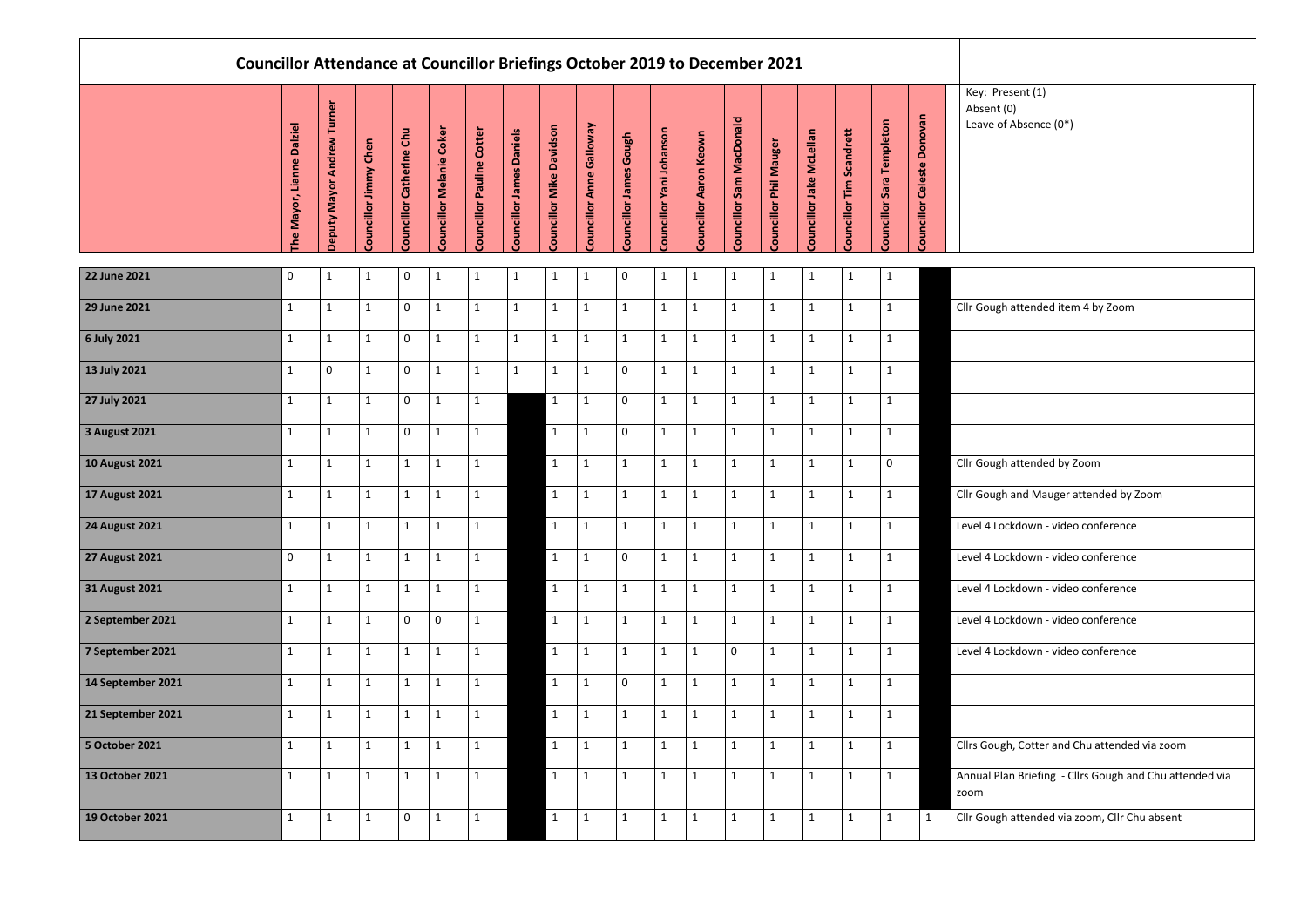| <b>Councillor Attendance at Councillor Briefings October 2019 to December 2021</b> |                                          |                                      |                          |                                      |                          |                           |                                    |                          |                          |                        |                                 |                               |                                 |                       |                          |                          |                           |                            |                                                                 |
|------------------------------------------------------------------------------------|------------------------------------------|--------------------------------------|--------------------------|--------------------------------------|--------------------------|---------------------------|------------------------------------|--------------------------|--------------------------|------------------------|---------------------------------|-------------------------------|---------------------------------|-----------------------|--------------------------|--------------------------|---------------------------|----------------------------|-----------------------------------------------------------------|
|                                                                                    | <b>Dalziel</b><br>Lianne<br>Mayor,<br>۱e | Turner<br><b>Deputy Mayor Andrew</b> | Chen<br>Councillor Jimmy | Gu<br>Catherine<br><b>Councillor</b> | Councillor Melanie Coker | Councillor Pauline Cotter | <b>Daniels</b><br>Councillor James | Councillor Mike Davidson | Councillor Anne Galloway | Councillor James Gough | <b>Councillor Yani Johanson</b> | <b>Councillor Aaron Keown</b> | <b>Councillor Sam MacDonald</b> | ouncillor Phil Mauger | Councillor Jake McLellan | Councillor Tim Scandrett | Councillor Sara Templeton | Councillor Celeste Donovan | Key: Present (1)<br>Absent (0)<br>Leave of Absence (0*)         |
| 22 June 2021                                                                       | $\mathbf 0$                              | 1                                    | $\mathbf 1$              | 0                                    | $\mathbf{1}$             | $\mathbf{1}$              | $\mathbf{1}$                       | $\mathbf{1}$             | 1                        | $\mathbf 0$            | $\mathbf{1}$                    | $\mathbf{1}$                  | $\mathbf 1$                     | $\mathbf 1$           | $\mathbf{1}$             | $\mathbf{1}$             | $\mathbf{1}$              |                            |                                                                 |
| <b>29 June 2021</b>                                                                | 1                                        | $\mathbf{1}$                         | $\mathbf{1}$             | 0                                    | $\mathbf{1}$             | $\mathbf{1}$              | $\mathbf{1}$                       | $\mathbf{1}$             | $\mathbf 1$              | 1                      | $\mathbf{1}$                    | $\mathbf{1}$                  | $\mathbf 1$                     | $\mathbf{1}$          | $\mathbf{1}$             | $\mathbf{1}$             | 1                         |                            | Cllr Gough attended item 4 by Zoom                              |
| 6 July 2021                                                                        | 1                                        | $\mathbf{1}$                         | $\mathbf{1}$             | $\mathbf 0$                          | $\mathbf{1}$             | $\mathbf{1}$              | $\mathbf{1}$                       | $\mathbf{1}$             | $\mathbf{1}$             | $\mathbf{1}$           | $\mathbf{1}$                    | $\mathbf{1}$                  | 1                               | $\mathbf{1}$          | $\mathbf{1}$             | $\mathbf{1}$             | $\mathbf{1}$              |                            |                                                                 |
| 13 July 2021                                                                       | 1                                        | $\pmb{0}$                            | $\mathbf{1}$             | 0                                    | $\mathbf{1}$             | $\mathbf{1}$              | $\mathbf{1}$                       | $\mathbf{1}$             | $\mathbf{1}$             | $\mathbf 0$            | $\mathbf{1}$                    | $\mathbf{1}$                  | $\mathbf{1}$                    | $\mathbf{1}$          | $\mathbf{1}$             | $\mathbf 1$              | $\mathbf{1}$              |                            |                                                                 |
| 27 July 2021                                                                       | $\mathbf{1}$                             | $\mathbf{1}$                         | $\mathbf{1}$             | 0                                    | $\mathbf{1}$             | $\mathbf{1}$              |                                    | $\mathbf{1}$             | $\mathbf 1$              | $\mathbf 0$            | $\mathbf{1}$                    | $\mathbf{1}$                  | $\mathbf{1}$                    | $\mathbf{1}$          | $\mathbf{1}$             | $\mathbf{1}$             | $\mathbf{1}$              |                            |                                                                 |
| <b>3 August 2021</b>                                                               | $\mathbf{1}$                             | $\mathbf{1}$                         | $\mathbf{1}$             | $\mathbf 0$                          | $\mathbf{1}$             | $\mathbf{1}$              |                                    | $\mathbf{1}$             | $\mathbf{1}$             | $\mathbf 0$            | $\mathbf{1}$                    | $\mathbf{1}$                  | $\mathbf{1}$                    | $\mathbf{1}$          | $\mathbf{1}$             | $\mathbf{1}$             | $\mathbf{1}$              |                            |                                                                 |
| <b>10 August 2021</b>                                                              | $\mathbf{1}$                             | $\mathbf{1}$                         | $\mathbf 1$              |                                      | $\mathbf{1}$             | $\mathbf{1}$              |                                    | $\overline{1}$           | $\mathbf{1}$             | 1                      | $\mathbf{1}$                    | $\mathbf{1}$                  | 1                               | $\mathbf{1}$          | $\mathbf{1}$             | $\mathbf{1}$             | $\mathbf 0$               |                            | Cllr Gough attended by Zoom                                     |
| <b>17 August 2021</b>                                                              | $\mathbf{1}$                             | $\mathbf{1}$                         | $\mathbf{1}$             |                                      | $\mathbf{1}$             | $\mathbf{1}$              |                                    | $\mathbf{1}$             | $\mathbf{1}$             | 1                      | $\mathbf{1}$                    | $\mathbf{1}$                  | $\mathbf{1}$                    | $\mathbf{1}$          | $\mathbf{1}$             | $\mathbf{1}$             | 1                         |                            | Cllr Gough and Mauger attended by Zoom                          |
| <b>24 August 2021</b>                                                              | 1                                        | $\mathbf{1}$                         | $\mathbf{1}$             | $\mathbf{1}$                         | $\mathbf{1}$             | $\mathbf{1}$              |                                    | $\mathbf{1}$             | $\mathbf{1}$             | 1                      | $\mathbf{1}$                    | $\mathbf{1}$                  | $\mathbf 1$                     | $\mathbf{1}$          | $\mathbf{1}$             | $\mathbf{1}$             | $\mathbf{1}$              |                            | Level 4 Lockdown - video conference                             |
| <b>27 August 2021</b>                                                              | $\mathbf 0$                              | $\mathbf{1}$                         | $\mathbf{1}$             | $\mathbf{1}$                         | $\mathbf{1}$             | $\mathbf{1}$              |                                    | $\mathbf{1}$             | $\mathbf{1}$             | $\mathbf 0$            | $\mathbf{1}$                    | $\mathbf{1}$                  | $\mathbf{1}$                    | $\mathbf{1}$          | $\mathbf{1}$             | $\mathbf{1}$             | $\mathbf{1}$              |                            | Level 4 Lockdown - video conference                             |
| <b>31 August 2021</b>                                                              | $\mathbf{1}$                             | $\mathbf{1}$                         | $\mathbf{1}$             | $\mathbf{1}$                         | $\mathbf{1}$             | $\mathbf{1}$              |                                    | $\overline{1}$           | $\mathbf{1}$             | $\mathbf{1}$           | $\mathbf{1}$                    | $\mathbf{1}$                  | $\mathbf{1}$                    | $\mathbf{1}$          | $\mathbf{1}$             | $\mathbf{1}$             | 1                         |                            | Level 4 Lockdown - video conference                             |
| 2 September 2021                                                                   | $\mathbf{1}$                             | $\mathbf{1}$                         | $\mathbf{1}$             | 0                                    | $\mathbf 0$              | $\mathbf{1}$              |                                    | $\mathbf{1}$             | $\mathbf{1}$             | $\mathbf{1}$           | $\mathbf{1}$                    | $\mathbf{1}$                  | $\mathbf{1}$                    | $\mathbf{1}$          | $\mathbf{1}$             | $\mathbf{1}$             | 1                         |                            | Level 4 Lockdown - video conference                             |
| 7 September 2021                                                                   | $\mathbf{1}$                             | $\mathbf{1}$                         | $\mathbf{1}$             | $\mathbf{1}$                         | $\mathbf{1}$             | $\mathbf{1}$              |                                    | $\mathbf{1}$             | $\mathbf{1}$             | $\mathbf{1}$           | $\mathbf{1}$                    | $\mathbf{1}$                  | $\mathbf 0$                     | $\mathbf{1}$          | $\mathbf{1}$             | $\mathbf{1}$             | $\mathbf{1}$              |                            | Level 4 Lockdown - video conference                             |
| 14 September 2021                                                                  | 1                                        | $\mathbf{1}$                         | $\mathbf{1}$             |                                      | $\mathbf{1}$             | $\mathbf{1}$              |                                    | $\mathbf{1}$             | $\mathbf{1}$             | $\mathbf 0$            | $\mathbf{1}$                    | $\mathbf{1}$                  | $\mathbf{1}$                    | $\mathbf{1}$          | $\mathbf{1}$             | $\mathbf{1}$             | $\mathbf{1}$              |                            |                                                                 |
| 21 September 2021                                                                  | $\mathbf{1}$                             | $\mathbf{1}$                         | $\mathbf{1}$             | $\mathbf{1}$                         | $\mathbf{1}$             | $\mathbf{1}$              |                                    | $\overline{1}$           | $\mathbf{1}$             | $\mathbf{1}$           | $\mathbf{1}$                    | $\mathbf{1}$                  | $\mathbf{1}$                    | $\mathbf{1}$          | $\mathbf{1}$             | $\mathbf{1}$             | $\mathbf{1}$              |                            |                                                                 |
| <b>5 October 2021</b>                                                              | $\mathbf{1}$                             | $\mathbf{1}$                         | $\mathbf{1}$             | $\mathbf{1}$                         | $\mathbf{1}$             | $\mathbf{1}$              |                                    | $\mathbf{1}$             | $\mathbf{1}$             | $\mathbf{1}$           | $\mathbf{1}$                    | $\mathbf{1}$                  | $\mathbf{1}$                    | $\mathbf{1}$          | $\mathbf{1}$             | $\mathbf{1}$             | $\mathbf{1}$              |                            | Cllrs Gough, Cotter and Chu attended via zoom                   |
| 13 October 2021                                                                    | $\mathbf{1}$                             | $\mathbf{1}$                         | $\mathbf{1}$             | $\mathbf{1}$                         | $\mathbf{1}$             | $\mathbf{1}$              |                                    | $\mathbf{1}$             | $\mathbf 1$              | 1                      | $\mathbf{1}$                    | $\mathbf{1}$                  | 1                               | $\mathbf{1}$          | $\mathbf{1}$             | $\mathbf{1}$             | $\mathbf{1}$              |                            | Annual Plan Briefing - Cllrs Gough and Chu attended via<br>zoom |
| 19 October 2021                                                                    | 1                                        | $\mathbf{1}$                         | $\mathbf{1}$             | 0                                    | $\mathbf{1}$             | $\mathbf{1}$              |                                    | $\mathbf{1}$             | $\mathbf{1}$             | 1                      | $\mathbf{1}$                    | $\mathbf{1}$                  | $\mathbf 1$                     | $\mathbf{1}$          | $\mathbf{1}$             | $\mathbf{1}$             | $\mathbf{1}$              | $\mathbf{1}$               | Cllr Gough attended via zoom, Cllr Chu absent                   |